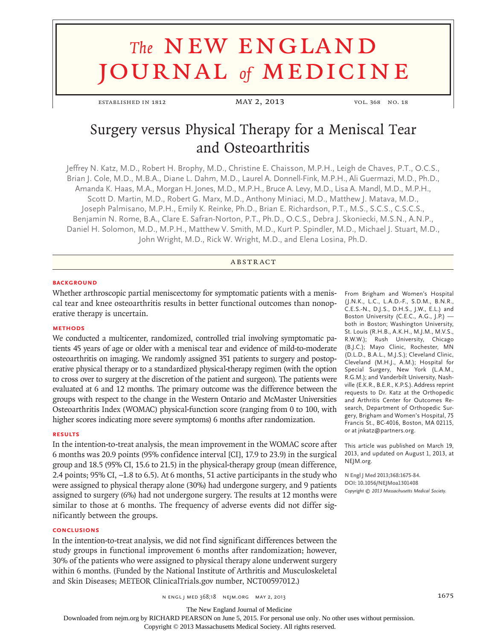# **The NEW ENGLAND** journal *of* medicine

established in 1812 **MAY 2, 2013** vol. 368 no. 18

## Surgery versus Physical Therapy for a Meniscal Tear and Osteoarthritis

Jeffrey N. Katz, M.D., Robert H. Brophy, M.D., Christine E. Chaisson, M.P.H., Leigh de Chaves, P.T., O.C.S., Brian J. Cole, M.D., M.B.A., Diane L. Dahm, M.D., Laurel A. Donnell-Fink, M.P.H., Ali Guermazi, M.D., Ph.D., Amanda K. Haas, M.A., Morgan H. Jones, M.D., M.P.H., Bruce A. Levy, M.D., Lisa A. Mandl, M.D., M.P.H., Scott D. Martin, M.D., Robert G. Marx, M.D., Anthony Miniaci, M.D., Matthew J. Matava, M.D., Joseph Palmisano, M.P.H., Emily K. Reinke, Ph.D., Brian E. Richardson, P.T., M.S., S.C.S., C.S.C.S., Benjamin N. Rome, B.A., Clare E. Safran-Norton, P.T., Ph.D., O.C.S., Debra J. Skoniecki, M.S.N., A.N.P., Daniel H. Solomon, M.D., M.P.H., Matthew V. Smith, M.D., Kurt P. Spindler, M.D., Michael J. Stuart, M.D., John Wright, M.D., Rick W. Wright, M.D., and Elena Losina, Ph.D.

**ABSTRACT** 

#### **BACKGROUND**

Whether arthroscopic partial meniscectomy for symptomatic patients with a meniscal tear and knee osteoarthritis results in better functional outcomes than nonoperative therapy is uncertain.

#### **Methods**

We conducted a multicenter, randomized, controlled trial involving symptomatic patients 45 years of age or older with a meniscal tear and evidence of mild-to-moderate osteoarthritis on imaging. We randomly assigned 351 patients to surgery and postoperative physical therapy or to a standardized physical-therapy regimen (with the option to cross over to surgery at the discretion of the patient and surgeon). The patients were evaluated at 6 and 12 months. The primary outcome was the difference between the groups with respect to the change in the Western Ontario and McMaster Universities Osteoarthritis Index (WOMAC) physical-function score (ranging from 0 to 100, with higher scores indicating more severe symptoms) 6 months after randomization.

#### **Results**

In the intention-to-treat analysis, the mean improvement in the WOMAC score after 6 months was 20.9 points (95% confidence interval [CI], 17.9 to 23.9) in the surgical group and 18.5 (95% CI, 15.6 to 21.5) in the physical-therapy group (mean difference, 2.4 points; 95% CI, −1.8 to 6.5). At 6 months, 51 active participants in the study who were assigned to physical therapy alone (30%) had undergone surgery, and 9 patients assigned to surgery (6%) had not undergone surgery. The results at 12 months were similar to those at 6 months. The frequency of adverse events did not differ significantly between the groups.

#### **Conclusions**

In the intention-to-treat analysis, we did not find significant differences between the study groups in functional improvement 6 months after randomization; however, 30% of the patients who were assigned to physical therapy alone underwent surgery within 6 months. (Funded by the National Institute of Arthritis and Musculoskeletal and Skin Diseases; METEOR ClinicalTrials.gov number, NCT00597012.)

From Brigham and Women's Hospital (J.N.K., L.C., L.A.D.-F., S.D.M., B.N.R., C.E.S.-N., D.J.S., D.H.S., J.W., E.L.) and Boston University (C.E.C., A.G., J.P.) both in Boston; Washington University, St. Louis (R.H.B., A.K.H., M.J.M., M.V.S., R.W.W.); Rush University, Chicago (B.J.C.); Mayo Clinic, Rochester, MN (D.L.D., B.A.L., M.J.S.); Cleveland Clinic, Cleveland (M.H.J., A.M.); Hospital for Special Surgery, New York (L.A.M., R.G.M.); and Vanderbilt University, Nashville (E.K.R., B.E.R., K.P.S.). Address reprint requests to Dr. Katz at the Orthopedic and Arthritis Center for Outcomes Research, Department of Orthopedic Surgery, Brigham and Women's Hospital, 75 Francis St., BC-4016, Boston, MA 02115, or at jnkatz@partners.org.

This article was published on March 19, 2013, and updated on August 1, 2013, at NEJM.org.

**N Engl J Med 2013;368:1675-84. DOI: 10.1056/NEJMoa1301408** *Copyright © 2013 Massachusetts Medical Society.*

n engl j med 368;18 nejm.org may 2, 2013 1675

The New England Journal of Medicine

Downloaded from nejm.org by RICHARD PEARSON on June 5, 2015. For personal use only. No other uses without permission.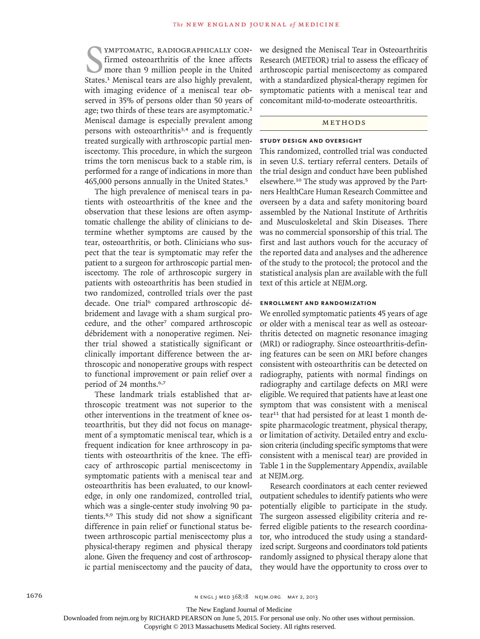STATE THE STATE CONFIDENTIC AND STATE OF STATE OF STATE SHOWS THE UNION STATE STATE STATE STATE STATE STATE STATE STATE STATE STATE STATE STATE STATE STATE STATE STATE STATE STATE STATE STATE STATE STATE STATE STATE STATE ymptomatic, radiographically confirmed osteoarthritis of the knee affects more than 9 million people in the United with imaging evidence of a meniscal tear observed in 35% of persons older than 50 years of age; two thirds of these tears are asymptomatic.<sup>2</sup> Meniscal damage is especially prevalent among persons with osteoarthritis<sup>3,4</sup> and is frequently treated surgically with arthroscopic partial meniscectomy. This procedure, in which the surgeon trims the torn meniscus back to a stable rim, is performed for a range of indications in more than 465,000 persons annually in the United States.<sup>5</sup>

The high prevalence of meniscal tears in patients with osteoarthritis of the knee and the observation that these lesions are often asymptomatic challenge the ability of clinicians to determine whether symptoms are caused by the tear, osteoarthritis, or both. Clinicians who suspect that the tear is symptomatic may refer the patient to a surgeon for arthroscopic partial meniscectomy. The role of arthroscopic surgery in patients with osteoarthritis has been studied in two randomized, controlled trials over the past decade. One trial<sup>6</sup> compared arthroscopic débridement and lavage with a sham surgical procedure, and the other<sup>7</sup> compared arthroscopic débridement with a nonoperative regimen. Neither trial showed a statistically significant or clinically important difference between the arthroscopic and nonoperative groups with respect to functional improvement or pain relief over a period of 24 months.<sup>6,7</sup>

These landmark trials established that arthroscopic treatment was not superior to the other interventions in the treatment of knee osteoarthritis, but they did not focus on management of a symptomatic meniscal tear, which is a frequent indication for knee arthroscopy in patients with osteoarthritis of the knee. The efficacy of arthroscopic partial meniscectomy in symptomatic patients with a meniscal tear and osteoarthritis has been evaluated, to our knowledge, in only one randomized, controlled trial, which was a single-center study involving 90 patients.8,9 This study did not show a significant difference in pain relief or functional status between arthroscopic partial meniscectomy plus a physical-therapy regimen and physical therapy alone. Given the frequency and cost of arthroscopic partial meniscectomy and the paucity of data,

we designed the Meniscal Tear in Osteoarthritis Research (METEOR) trial to assess the efficacy of arthroscopic partial meniscectomy as compared with a standardized physical-therapy regimen for symptomatic patients with a meniscal tear and concomitant mild-to-moderate osteoarthritis.

### METHODS

#### **Study Design and Oversight**

This randomized, controlled trial was conducted in seven U.S. tertiary referral centers. Details of the trial design and conduct have been published elsewhere.10 The study was approved by the Partners HealthCare Human Research Committee and overseen by a data and safety monitoring board assembled by the National Institute of Arthritis and Musculoskeletal and Skin Diseases. There was no commercial sponsorship of this trial. The first and last authors vouch for the accuracy of the reported data and analyses and the adherence of the study to the protocol; the protocol and the statistical analysis plan are available with the full text of this article at NEJM.org.

#### **Enrollment and Randomization**

We enrolled symptomatic patients 45 years of age or older with a meniscal tear as well as osteoarthritis detected on magnetic resonance imaging (MRI) or radiography. Since osteoarthritis-defining features can be seen on MRI before changes consistent with osteoarthritis can be detected on radiography, patients with normal findings on radiography and cartilage defects on MRI were eligible. We required that patients have at least one symptom that was consistent with a meniscal tear<sup>11</sup> that had persisted for at least 1 month despite pharmacologic treatment, physical therapy, or limitation of activity. Detailed entry and exclusion criteria (including specific symptoms that were consistent with a meniscal tear) are provided in Table 1 in the Supplementary Appendix, available at NEJM.org.

Research coordinators at each center reviewed outpatient schedules to identify patients who were potentially eligible to participate in the study. The surgeon assessed eligibility criteria and referred eligible patients to the research coordinator, who introduced the study using a standardized script. Surgeons and coordinators told patients randomly assigned to physical therapy alone that they would have the opportunity to cross over to

The New England Journal of Medicine

Downloaded from nejm.org by RICHARD PEARSON on June 5, 2015. For personal use only. No other uses without permission.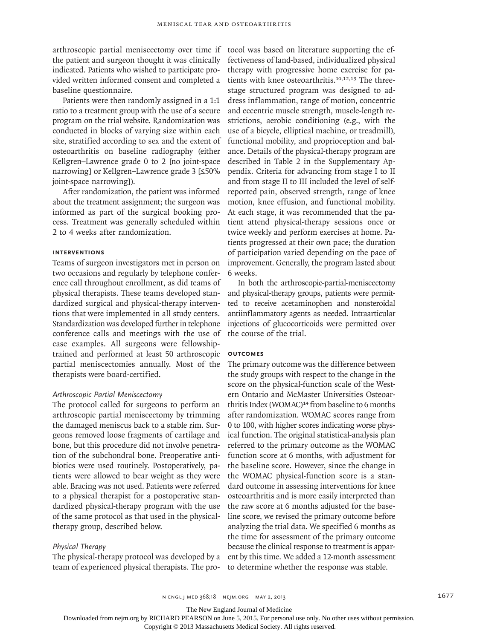arthroscopic partial meniscectomy over time if the patient and surgeon thought it was clinically indicated. Patients who wished to participate provided written informed consent and completed a baseline questionnaire.

Patients were then randomly assigned in a 1:1 ratio to a treatment group with the use of a secure program on the trial website. Randomization was conducted in blocks of varying size within each site, stratified according to sex and the extent of osteoarthritis on baseline radiography (either Kellgren–Lawrence grade 0 to 2 [no joint-space narrowing] or Kellgren–Lawrence grade 3 [≤50% joint-space narrowing]).

After randomization, the patient was informed about the treatment assignment; the surgeon was informed as part of the surgical booking process. Treatment was generally scheduled within 2 to 4 weeks after randomization.

#### **Interventions**

Teams of surgeon investigators met in person on two occasions and regularly by telephone conference call throughout enrollment, as did teams of physical therapists. These teams developed standardized surgical and physical-therapy interventions that were implemented in all study centers. Standardization was developed further in telephone conference calls and meetings with the use of case examples. All surgeons were fellowshiptrained and performed at least 50 arthroscopic partial meniscectomies annually. Most of the therapists were board-certified.

#### *Arthroscopic Partial Meniscectomy*

The protocol called for surgeons to perform an arthroscopic partial meniscectomy by trimming the damaged meniscus back to a stable rim. Surgeons removed loose fragments of cartilage and bone, but this procedure did not involve penetration of the subchondral bone. Preoperative antibiotics were used routinely. Postoperatively, patients were allowed to bear weight as they were able. Bracing was not used. Patients were referred to a physical therapist for a postoperative standardized physical-therapy program with the use of the same protocol as that used in the physicaltherapy group, described below.

#### *Physical Therapy*

The physical-therapy protocol was developed by a team of experienced physical therapists. The pro-

tocol was based on literature supporting the effectiveness of land-based, individualized physical therapy with progressive home exercise for patients with knee osteoarthritis.10,12,13 The threestage structured program was designed to address inflammation, range of motion, concentric and eccentric muscle strength, muscle-length restrictions, aerobic conditioning (e.g., with the use of a bicycle, elliptical machine, or treadmill), functional mobility, and proprioception and balance. Details of the physical-therapy program are described in Table 2 in the Supplementary Appendix. Criteria for advancing from stage I to II and from stage II to III included the level of selfreported pain, observed strength, range of knee motion, knee effusion, and functional mobility. At each stage, it was recommended that the patient attend physical-therapy sessions once or twice weekly and perform exercises at home. Patients progressed at their own pace; the duration of participation varied depending on the pace of improvement. Generally, the program lasted about 6 weeks.

In both the arthroscopic-partial-meniscectomy and physical-therapy groups, patients were permitted to receive acetaminophen and nonsteroidal antiinflammatory agents as needed. Intraarticular injections of glucocorticoids were permitted over the course of the trial.

#### **Outcomes**

The primary outcome was the difference between the study groups with respect to the change in the score on the physical-function scale of the Western Ontario and McMaster Universities Osteoarthritis Index (WOMAC)<sup>14</sup> from baseline to 6 months after randomization. WOMAC scores range from 0 to 100, with higher scores indicating worse physical function. The original statistical-analysis plan referred to the primary outcome as the WOMAC function score at 6 months, with adjustment for the baseline score. However, since the change in the WOMAC physical-function score is a standard outcome in assessing interventions for knee osteoarthritis and is more easily interpreted than the raw score at 6 months adjusted for the baseline score, we revised the primary outcome before analyzing the trial data. We specified 6 months as the time for assessment of the primary outcome because the clinical response to treatment is apparent by this time. We added a 12-month assessment to determine whether the response was stable.

n engl j med 368;18 nejm.org may 2, 2013 1677

The New England Journal of Medicine

Downloaded from nejm.org by RICHARD PEARSON on June 5, 2015. For personal use only. No other uses without permission.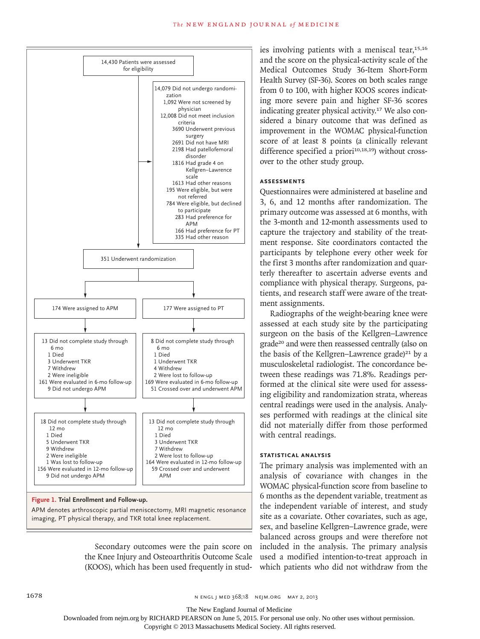

#### **Figure 1. Trial Enrollment and Follow-up.**

APM denotes arthroscopic partial meniscectomy, MRI magnetic resonance imaging, PT physical therapy, and TKR total knee replacement.

> Secondary outcomes were the pain score on the Knee Injury and Osteoarthritis Outcome Scale (KOOS), which has been used frequently in stud-

**SIZE**

ies involving patients with a meniscal tear,<sup>15,16</sup> and the score on the physical-activity scale of the Medical Outcomes Study 36-Item Short-Form Health Survey (SF-36). Scores on both scales range from 0 to 100, with higher KOOS scores indicating more severe pain and higher SF-36 scores indicating greater physical activity.17 We also considered a binary outcome that was defined as improvement in the WOMAC physical-function score of at least 8 points (a clinically relevant difference specified a priori $10,18,19)$  without crossover to the other study group.

#### **Assessments**

Questionnaires were administered at baseline and 3, 6, and 12 months after randomization. The primary outcome was assessed at 6 months, with the 3-month and 12-month assessments used to capture the trajectory and stability of the treatment response. Site coordinators contacted the participants by telephone every other week for the first 3 months after randomization and quarterly thereafter to ascertain adverse events and compliance with physical therapy. Surgeons, patients, and research staff were aware of the treatment assignments.

Radiographs of the weight-bearing knee were assessed at each study site by the participating surgeon on the basis of the Kellgren–Lawrence grade20 and were then reassessed centrally (also on the basis of the Kellgren–Lawrence grade)<sup>21</sup> by a musculoskeletal radiologist. The concordance between these readings was 71.8%. Readings performed at the clinical site were used for assessing eligibility and randomization strata, whereas central readings were used in the analysis. Analyses performed with readings at the clinical site did not materially differ from those performed with central readings.

#### **Statistical Analysis**

The primary analysis was implemented with an analysis of covariance with changes in the WOMAC physical-function score from baseline to 6 months as the dependent variable, treatment as the independent variable of interest, and study site as a covariate. Other covariates, such as age, sex, and baseline Kellgren–Lawrence grade, were balanced across groups and were therefore not included in the analysis. The primary analysis used a modified intention-to-treat approach in which patients who did not withdraw from the

The New England Journal of Medicine

Downloaded from nejm.org by RICHARD PEARSON on June 5, 2015. For personal use only. No other uses without permission.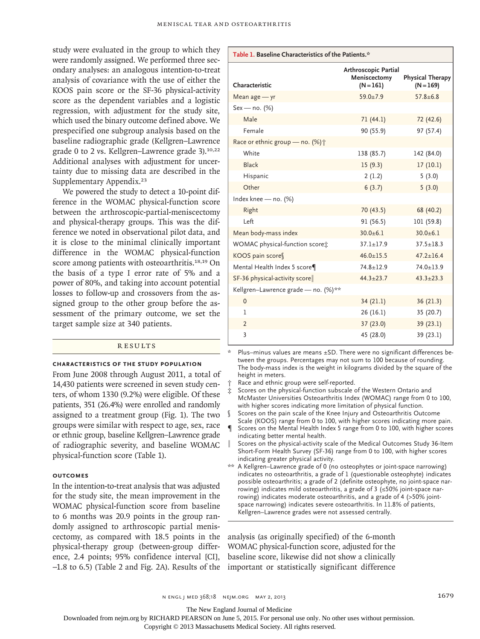study were evaluated in the group to which they were randomly assigned. We performed three secondary analyses: an analogous intention-to-treat analysis of covariance with the use of either the KOOS pain score or the SF-36 physical-activity score as the dependent variables and a logistic regression, with adjustment for the study site, which used the binary outcome defined above. We prespecified one subgroup analysis based on the baseline radiographic grade (Kellgren–Lawrence grade 0 to 2 vs. Kellgren–Lawrence grade 3).10,22 Additional analyses with adjustment for uncertainty due to missing data are described in the Supplementary Appendix.<sup>23</sup>

We powered the study to detect a 10-point difference in the WOMAC physical-function score between the arthroscopic-partial-meniscectomy and physical-therapy groups. This was the difference we noted in observational pilot data, and it is close to the minimal clinically important difference in the WOMAC physical-function score among patients with osteoarthritis.<sup>18,19</sup> On the basis of a type I error rate of 5% and a power of 80%, and taking into account potential losses to follow-up and crossovers from the assigned group to the other group before the assessment of the primary outcome, we set the target sample size at 340 patients.

#### **RESULTS**

#### **Characteristics of the Study Population**

From June 2008 through August 2011, a total of 14,430 patients were screened in seven study centers, of whom 1330 (9.2%) were eligible. Of these patients, 351 (26.4%) were enrolled and randomly assigned to a treatment group (Fig. 1). The two groups were similar with respect to age, sex, race or ethnic group, baseline Kellgren–Lawrence grade of radiographic severity, and baseline WOMAC physical-function score (Table 1).

#### **Outcomes**

In the intention-to-treat analysis that was adjusted for the study site, the mean improvement in the WOMAC physical-function score from baseline to 6 months was 20.9 points in the group randomly assigned to arthroscopic partial meniscectomy, as compared with 18.5 points in the physical-therapy group (between-group difference, 2.4 points; 95% confidence interval [CI], −1.8 to 6.5) (Table 2 and Fig. 2A). Results of the important or statistically significant difference

| Table 1. Baseline Characteristics of the Patients.* |                                                     |                                        |  |  |
|-----------------------------------------------------|-----------------------------------------------------|----------------------------------------|--|--|
| Characteristic                                      | Arthroscopic Partial<br>Meniscectomy<br>$(N = 161)$ | <b>Physical Therapy</b><br>$(N = 169)$ |  |  |
| Mean $age - yr$                                     | $59.0 + 7.9$                                        | $57.8 + 6.8$                           |  |  |
| $Sex - no.$ (%)                                     |                                                     |                                        |  |  |
| Male                                                | 71(44.1)                                            | 72 (42.6)                              |  |  |
| Female                                              | 90 (55.9)                                           | 97 (57.4)                              |  |  |
| Race or ethnic group - no. (%) $\dagger$            |                                                     |                                        |  |  |
| White                                               | 138 (85.7)                                          | 142 (84.0)                             |  |  |
| <b>Black</b>                                        | 15(9.3)                                             | 17(10.1)                               |  |  |
| Hispanic                                            | 2(1.2)                                              | 5(3.0)                                 |  |  |
| Other                                               | 6(3.7)                                              | 5(3.0)                                 |  |  |
| Index knee - no. (%)                                |                                                     |                                        |  |  |
| Right                                               | 70(43.5)                                            | 68 (40.2)                              |  |  |
| Left                                                | 91 (56.5)                                           | 101 (59.8)                             |  |  |
| Mean body-mass index                                | $30.0 + 6.1$                                        | $30.0 + 6.1$                           |  |  |
| WOMAC physical-function score:                      | $37.1 \pm 17.9$                                     | $37.5 + 18.3$                          |  |  |
| KOOS pain score                                     | $46.0 \pm 15.5$                                     | $47.2 \pm 16.4$                        |  |  |
| Mental Health Index 5 score                         | $74.8 \pm 12.9$                                     | $74.0 \pm 13.9$                        |  |  |
| SF-36 physical-activity score                       | $44.3 \pm 23.7$                                     | $43.3 \pm 23.3$                        |  |  |
| Kellgren-Lawrence grade - no. (%)**                 |                                                     |                                        |  |  |
| $\mathbf{0}$                                        | 34(21.1)                                            | 36 (21.3)                              |  |  |
| 1                                                   | 26(16.1)                                            | 35 (20.7)                              |  |  |
| $\overline{2}$                                      | 37 (23.0)                                           | 39 (23.1)                              |  |  |
| 3                                                   | 45 (28.0)                                           | 39 (23.1)                              |  |  |

Plus–minus values are means  $\pm$ SD. There were no significant differences between the groups. Percentages may not sum to 100 because of rounding. The body-mass index is the weight in kilograms divided by the square of the height in meters.

- Race and ethnic group were self-reported.
- Scores on the physical-function subscale of the Western Ontario and McMaster Universities Osteoarthritis Index (WOMAC) range from 0 to 100, with higher scores indicating more limitation of physical function.
- Scores on the pain scale of the Knee Injury and Osteoarthritis Outcome Scale (KOOS) range from 0 to 100, with higher scores indicating more pain.
- Scores on the Mental Health Index 5 range from 0 to 100, with higher scores indicating better mental health.
- Scores on the physical-activity scale of the Medical Outcomes Study 36-Item Short-Form Health Survey (SF-36) range from 0 to 100, with higher scores indicating greater physical activity.
- \*\* A Kellgren–Lawrence grade of 0 (no osteophytes or joint-space narrowing) indicates no osteoarthritis, a grade of 1 (questionable osteophyte) indicates possible osteoarthritis; a grade of 2 (definite osteophyte, no joint-space narrowing) indicates mild osteoarthritis, a grade of 3 (≤50% joint-space narrowing) indicates moderate osteoarthritis, and a grade of 4 (>50% jointspace narrowing) indicates severe osteoarthritis. In 11.8% of patients, Kellgren–Lawrence grades were not assessed centrally.

analysis (as originally specified) of the 6-month WOMAC physical-function score, adjusted for the baseline score, likewise did not show a clinically

n engl j med 368;18 nejm.org may 2, 2013 1679

The New England Journal of Medicine

Downloaded from nejm.org by RICHARD PEARSON on June 5, 2015. For personal use only. No other uses without permission.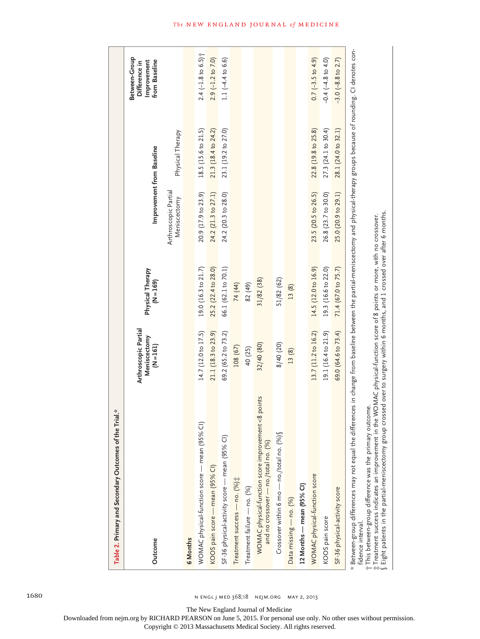| Table 2. Primary and Secondary Outcomes of the Trial.*                                                                                                                                                                                                                                                                                                                                                                                              |                                                     |                                                                           |                                      |                     |                                                                       |
|-----------------------------------------------------------------------------------------------------------------------------------------------------------------------------------------------------------------------------------------------------------------------------------------------------------------------------------------------------------------------------------------------------------------------------------------------------|-----------------------------------------------------|---------------------------------------------------------------------------|--------------------------------------|---------------------|-----------------------------------------------------------------------|
| Outcome                                                                                                                                                                                                                                                                                                                                                                                                                                             | Arthroscopic Partial<br>Meniscectomy<br>$(N = 161)$ | Physical Therapy<br>$(N = 169)$                                           | Improvement from Baseline            |                     | Between-Group<br><b>From Baseline</b><br>Improvement<br>Difference in |
|                                                                                                                                                                                                                                                                                                                                                                                                                                                     |                                                     |                                                                           | Arthroscopic Partial<br>Meniscectomy | Physical Therapy    |                                                                       |
| 6 Months                                                                                                                                                                                                                                                                                                                                                                                                                                            |                                                     |                                                                           |                                      |                     |                                                                       |
| WOMAC physical-function score — mean (95% Cl)                                                                                                                                                                                                                                                                                                                                                                                                       | 14.7 (12.0 to 17.5)                                 | 19.0 (16.3 to 21.7)                                                       | 20.9 (17.9 to 23.9)                  | 18.5 (15.6 to 21.5) | $2.4$ (-1.8 to 6.5) $\uparrow$                                        |
| KOOS pain score — mean (95% CI)                                                                                                                                                                                                                                                                                                                                                                                                                     | 21.1 (18.3 to 23.9)                                 | 25.2 (22.4 to 28.0)                                                       | 24.2 (21.3 to 27.1)                  | 21.3 (18.4 to 24.2) | $2.9$ (-1.2 to 7.0)                                                   |
| SF-36 physical-activity score — mean (95% CI)                                                                                                                                                                                                                                                                                                                                                                                                       | 69.2 (65.2 to 73.2)                                 | 66.1 (62.1 to 70.1)                                                       | 24.2 (20.3 to 28.0)                  | 23.1 (19.2 to 27.0) | $1.1 (-4.4 to 6.6)$                                                   |
| Treatment success - no. (%);                                                                                                                                                                                                                                                                                                                                                                                                                        | 108 (67)                                            | 74 (44)                                                                   |                                      |                     |                                                                       |
| Treatment failure - no. (%)                                                                                                                                                                                                                                                                                                                                                                                                                         | 40 (25)                                             | 82 (49)                                                                   |                                      |                     |                                                                       |
| WOMAC physical-function score improvement <8 points<br>and no crossover — no./total no. (%)                                                                                                                                                                                                                                                                                                                                                         | 32/40 (80)                                          | 31/82 (38)                                                                |                                      |                     |                                                                       |
| Crossover within 6 mo — no./total no. (%)§                                                                                                                                                                                                                                                                                                                                                                                                          | 8/40 (20)                                           | 51/82 (62)                                                                |                                      |                     |                                                                       |
| Data missing - no. (%)                                                                                                                                                                                                                                                                                                                                                                                                                              | 13(8)                                               | 13 (8)                                                                    |                                      |                     |                                                                       |
| 12 Months — mean (95% CI)                                                                                                                                                                                                                                                                                                                                                                                                                           |                                                     |                                                                           |                                      |                     |                                                                       |
| WOMAC physical-function score                                                                                                                                                                                                                                                                                                                                                                                                                       | 13.7 (11.2 to 16.2)                                 | 14.5 (12.0 to 16.9)                                                       | 23.5 (20.5 to 26.5)                  | 22.8 (19.8 to 25.8) | $0.7 (-3.5 to 4.9)$                                                   |
| KOOS pain score                                                                                                                                                                                                                                                                                                                                                                                                                                     | 19.1 (16.4 to 21.9)                                 | 19.3 (16.6 to 22.0)                                                       | 26.8 (23.7 to 30.0)                  | 27.3 (24.1 to 30.4) | $-0.4 (-4.8 \text{ to } 4.0)$                                         |
| SF-36 physical-activity score                                                                                                                                                                                                                                                                                                                                                                                                                       | 69.0 (64.6 to 73.4)                                 | 71.4 (67.0 to 75.7)                                                       | 25.0 (20.9 to 29.1)                  | 28.1 (24.0 to 32.1) | $-3.0$ $(-8.8$ to 2.7)                                                |
| Between-group differences may not equal the differences in change from baseline between the partial-meniscectomy and physical-therapy groups because of rounding. CI denotes con-<br>Eight patients in the partial-meniscectomy group crossed over to surgery within 6 months, and 1 crossed over after 6 months.<br>¡This between-group difference was the primary outcome.<br>#Treatment success indicates an improvement in<br>fidence interval. |                                                     | the WOMAC physical-function score of 8 points or more, with no crossover. |                                      |                     |                                                                       |

1680 n engl j med 368;18 nejm.org may 2, 2013

The New England Journal of Medicine

Downloaded from nejm.org by RICHARD PEARSON on June 5, 2015. For personal use only. No other uses without permission.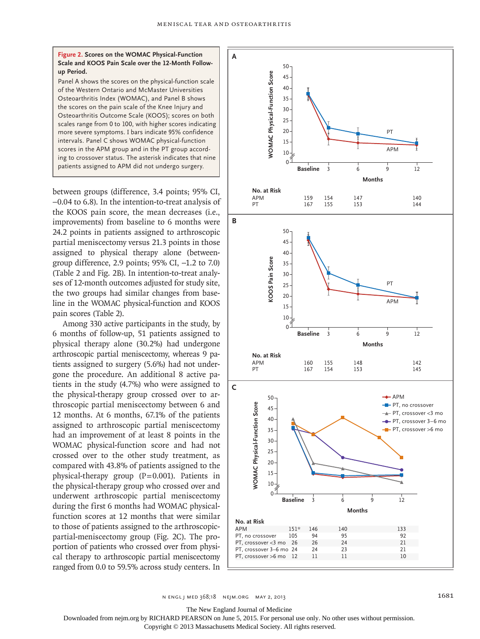**Figure 2. Scores on the WOMAC Physical-Function Scale and KOOS Pain Scale over the 12-Month Followup Period.**

Panel A shows the scores on the physical-function scale of the Western Ontario and McMaster Universities Osteoarthritis Index (WOMAC), and Panel B shows the scores on the pain scale of the Knee Injury and Osteoarthritis Outcome Scale (KOOS); scores on both scales range from 0 to 100, with higher scores indicating more severe symptoms. I bars indicate 95% confidence intervals. Panel C shows WOMAC physical-function scores in the APM group and in the PT group according to crossover status. The asterisk indicates that nine patients assigned to APM did not undergo surgery.

between groups (difference, 3.4 points; 95% CI, −0.04 to 6.8). In the intention-to-treat analysis of the KOOS pain score, the mean decreases (i.e., improvements) from baseline to 6 months were 24.2 points in patients assigned to arthroscopic partial meniscectomy versus 21.3 points in those assigned to physical therapy alone (betweengroup difference, 2.9 points; 95% CI, −1.2 to 7.0) (Table 2 and Fig. 2B). In intention-to-treat analyses of 12-month outcomes adjusted for study site, the two groups had similar changes from baseline in the WOMAC physical-function and KOOS pain scores (Table 2).

Among 330 active participants in the study, by 6 months of follow-up, 51 patients assigned to physical therapy alone (30.2%) had undergone arthroscopic partial meniscectomy, whereas 9 patients assigned to surgery (5.6%) had not undergone the procedure. An additional 8 active patients in the study (4.7%) who were assigned to the physical-therapy group crossed over to arthroscopic partial meniscectomy between 6 and 12 months. At 6 months, 67.1% of the patients assigned to arthroscopic partial meniscectomy had an improvement of at least 8 points in the WOMAC physical-function score and had not crossed over to the other study treatment, as compared with 43.8% of patients assigned to the physical-therapy group  $(P=0.001)$ . Patients in the physical-therapy group who crossed over and underwent arthroscopic partial meniscectomy during the first 6 months had WOMAC physicalfunction scores at 12 months that were similar to those of patients assigned to the arthroscopicpartial-meniscectomy group (Fig. 2C). The proportion of patients who crossed over from physical therapy to arthroscopic partial meniscectomy ranged from 0.0 to 59.5% across study centers. In



n engl j med 368;18 nejm.org may 2, 2013 1681

The New England Journal of Medicine

Downloaded from nejm.org by RICHARD PEARSON on June 5, 2015. For personal use only. No other uses without permission.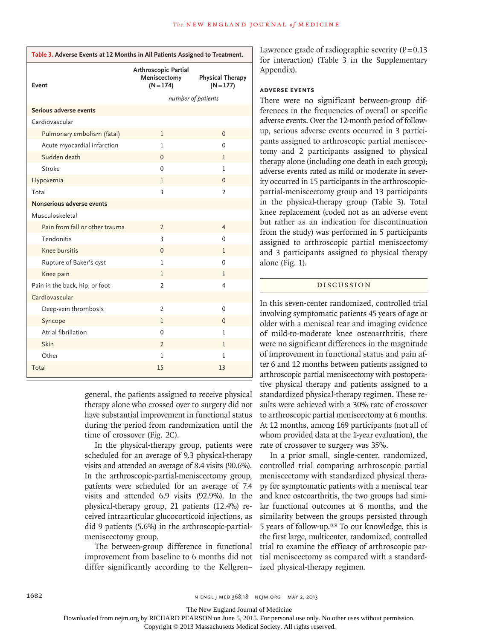| Table 3. Adverse Events at 12 Months in All Patients Assigned to Treatment. |                                                     |                                        |  |  |
|-----------------------------------------------------------------------------|-----------------------------------------------------|----------------------------------------|--|--|
| Event                                                                       | Arthroscopic Partial<br>Meniscectomy<br>$(N = 174)$ | <b>Physical Therapy</b><br>$(N = 177)$ |  |  |
|                                                                             | number of patients                                  |                                        |  |  |
| Serious adverse events                                                      |                                                     |                                        |  |  |
| Cardiovascular                                                              |                                                     |                                        |  |  |
| Pulmonary embolism (fatal)                                                  | T                                                   | 0                                      |  |  |
| Acute myocardial infarction                                                 | 1                                                   | 0                                      |  |  |
| Sudden death                                                                | 0                                                   | 1                                      |  |  |
| Stroke                                                                      | 0                                                   | 1                                      |  |  |
| Hypoxemia                                                                   | 1                                                   | 0                                      |  |  |
| Total                                                                       | 3                                                   | 2                                      |  |  |
| Nonserious adverse events                                                   |                                                     |                                        |  |  |
| Musculoskeletal                                                             |                                                     |                                        |  |  |
| Pain from fall or other trauma                                              | $\overline{2}$                                      | 4                                      |  |  |
| Tendonitis                                                                  | 3                                                   | 0                                      |  |  |
| Knee bursitis                                                               | $\mathbf{0}$                                        | 1                                      |  |  |
| Rupture of Baker's cyst                                                     | 1                                                   | 0                                      |  |  |
| Knee pain                                                                   | 1                                                   | 1                                      |  |  |
| Pain in the back, hip, or foot                                              | $\overline{2}$                                      | 4                                      |  |  |
| Cardiovascular                                                              |                                                     |                                        |  |  |
| Deep-vein thrombosis                                                        | 2                                                   | 0                                      |  |  |
| Syncope                                                                     | 1                                                   | 0                                      |  |  |
| Atrial fibrillation                                                         | $\mathbf 0$                                         | 1                                      |  |  |
| Skin                                                                        | $\overline{2}$                                      | 1                                      |  |  |
| Other                                                                       | 1                                                   | 1                                      |  |  |
| Total                                                                       | 15                                                  | 13                                     |  |  |

general, the patients assigned to receive physical therapy alone who crossed over to surgery did not have substantial improvement in functional status during the period from randomization until the time of crossover (Fig. 2C).

In the physical-therapy group, patients were scheduled for an average of 9.3 physical-therapy visits and attended an average of 8.4 visits (90.6%). In the arthroscopic-partial-meniscectomy group, patients were scheduled for an average of 7.4 visits and attended 6.9 visits (92.9%). In the physical-therapy group, 21 patients (12.4%) received intraarticular glucocorticoid injections, as did 9 patients (5.6%) in the arthroscopic-partialmeniscectomy group.

The between-group difference in functional improvement from baseline to 6 months did not differ significantly according to the Kellgren– Lawrence grade of radiographic severity  $(P=0.13)$ for interaction) (Table 3 in the Supplementary Appendix).

#### **Adverse Events**

There were no significant between-group differences in the frequencies of overall or specific adverse events. Over the 12-month period of followup, serious adverse events occurred in 3 participants assigned to arthroscopic partial meniscectomy and 2 participants assigned to physical therapy alone (including one death in each group); adverse events rated as mild or moderate in severity occurred in 15 participants in the arthroscopicpartial-meniscectomy group and 13 participants in the physical-therapy group (Table 3). Total knee replacement (coded not as an adverse event but rather as an indication for discontinuation from the study) was performed in 5 participants assigned to arthroscopic partial meniscectomy and 3 participants assigned to physical therapy alone (Fig. 1).

#### Discussion

In this seven-center randomized, controlled trial involving symptomatic patients 45 years of age or older with a meniscal tear and imaging evidence of mild-to-moderate knee osteoarthritis, there were no significant differences in the magnitude of improvement in functional status and pain after 6 and 12 months between patients assigned to arthroscopic partial meniscectomy with postoperative physical therapy and patients assigned to a standardized physical-therapy regimen. These results were achieved with a 30% rate of crossover to arthroscopic partial meniscectomy at 6 months. At 12 months, among 169 participants (not all of whom provided data at the 1-year evaluation), the rate of crossover to surgery was 35%.

In a prior small, single-center, randomized, controlled trial comparing arthroscopic partial meniscectomy with standardized physical therapy for symptomatic patients with a meniscal tear and knee osteoarthritis, the two groups had similar functional outcomes at 6 months, and the similarity between the groups persisted through 5 years of follow-up.8,9 To our knowledge, this is the first large, multicenter, randomized, controlled trial to examine the efficacy of arthroscopic partial meniscectomy as compared with a standardized physical-therapy regimen.

The New England Journal of Medicine

Downloaded from nejm.org by RICHARD PEARSON on June 5, 2015. For personal use only. No other uses without permission.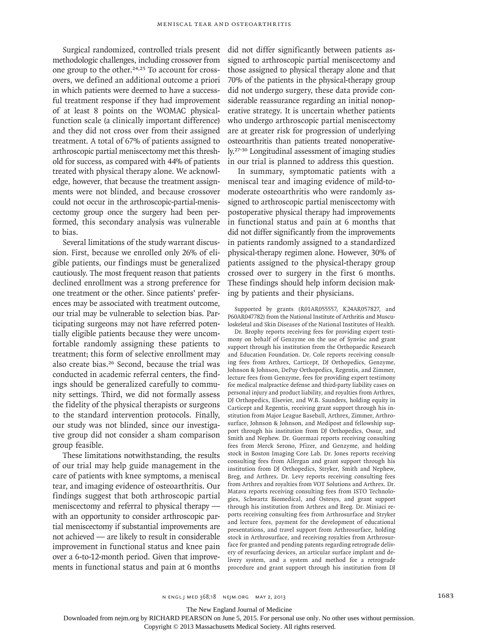Surgical randomized, controlled trials present methodologic challenges, including crossover from one group to the other.24,25 To account for crossovers, we defined an additional outcome a priori in which patients were deemed to have a successful treatment response if they had improvement of at least 8 points on the WOMAC physicalfunction scale (a clinically important difference) and they did not cross over from their assigned treatment. A total of 67% of patients assigned to arthroscopic partial meniscectomy met this threshold for success, as compared with 44% of patients treated with physical therapy alone. We acknowledge, however, that because the treatment assignments were not blinded, and because crossover could not occur in the arthroscopic-partial-meniscectomy group once the surgery had been performed, this secondary analysis was vulnerable to bias.

Several limitations of the study warrant discussion. First, because we enrolled only 26% of eligible patients, our findings must be generalized cautiously. The most frequent reason that patients declined enrollment was a strong preference for one treatment or the other. Since patients' preferences may be associated with treatment outcome, our trial may be vulnerable to selection bias. Participating surgeons may not have referred potentially eligible patients because they were uncomfortable randomly assigning these patients to treatment; this form of selective enrollment may also create bias.26 Second, because the trial was conducted in academic referral centers, the findings should be generalized carefully to community settings. Third, we did not formally assess the fidelity of the physical therapists or surgeons to the standard intervention protocols. Finally, our study was not blinded, since our investigative group did not consider a sham comparison group feasible.

These limitations notwithstanding, the results of our trial may help guide management in the care of patients with knee symptoms, a meniscal tear, and imaging evidence of osteoarthritis. Our findings suggest that both arthroscopic partial meniscectomy and referral to physical therapy with an opportunity to consider arthroscopic partial meniscectomy if substantial improvements are not achieved — are likely to result in considerable improvement in functional status and knee pain over a 6-to-12-month period. Given that improvements in functional status and pain at 6 months did not differ significantly between patients assigned to arthroscopic partial meniscectomy and those assigned to physical therapy alone and that 70% of the patients in the physical-therapy group did not undergo surgery, these data provide considerable reassurance regarding an initial nonoperative strategy. It is uncertain whether patients who undergo arthroscopic partial meniscectomy are at greater risk for progression of underlying osteoarthritis than patients treated nonoperatively.27-30 Longitudinal assessment of imaging studies in our trial is planned to address this question.

In summary, symptomatic patients with a meniscal tear and imaging evidence of mild-tomoderate osteoarthritis who were randomly assigned to arthroscopic partial meniscectomy with postoperative physical therapy had improvements in functional status and pain at 6 months that did not differ significantly from the improvements in patients randomly assigned to a standardized physical-therapy regimen alone. However, 30% of patients assigned to the physical-therapy group crossed over to surgery in the first 6 months. These findings should help inform decision making by patients and their physicians.

Supported by grants (R01AR055557, K24AR057827, and P60AR047782) from the National Institute of Arthritis and Musculoskeletal and Skin Diseases of the National Institutes of Health.

Dr. Brophy reports receiving fees for providing expert testimony on behalf of Genzyme on the use of Synvisc and grant support through his institution from the Orthopaedic Research and Education Foundation. Dr. Cole reports receiving consulting fees from Arthrex, Carticept, DJ Orthopedics, Genzyme, Johnson & Johnson, DePuy Orthopedics, Regentis, and Zimmer, lecture fees from Genzyme, fees for providing expert testimony for medical malpractice defense and third-party liability cases on personal injury and product liability, and royalties from Arthrex, DJ Orthopedics, Elsevier, and W.B. Saunders, holding equity in Carticept and Regentis, receiving grant support through his institution from Major League Baseball, Arthrex, Zimmer, Arthrosurface, Johnson & Johnson, and Medipost and fellowship support through his institution from DJ Orthopedics, Ossur, and Smith and Nephew. Dr. Guermazi reports receiving consulting fees from Merck Serono, Pfizer, and Genzyme, and holding stock in Boston Imaging Core Lab. Dr. Jones reports receiving consulting fees from Allergan and grant support through his institution from DJ Orthopedics, Stryker, Smith and Nephew, Breg, and Arthrex. Dr. Levy reports receiving consulting fees from Arthrex and royalties from VOT Solutions and Arthrex. Dr. Matava reports receiving consulting fees from ISTO Technologies, Schwartz Biomedical, and Ostesys, and grant support through his institution from Arthrex and Breg. Dr. Miniaci reports receiving consulting fees from Arthrosurface and Stryker and lecture fees, payment for the development of educational presentations, and travel support from Arthrosurface, holding stock in Arthrosurface, and receiving royalties from Arthrosurface for granted and pending patents regarding retrograde delivery of resurfacing devices, an articular surface implant and delivery system, and a system and method for a retrograde procedure and grant support through his institution from DJ

The New England Journal of Medicine

Downloaded from nejm.org by RICHARD PEARSON on June 5, 2015. For personal use only. No other uses without permission.